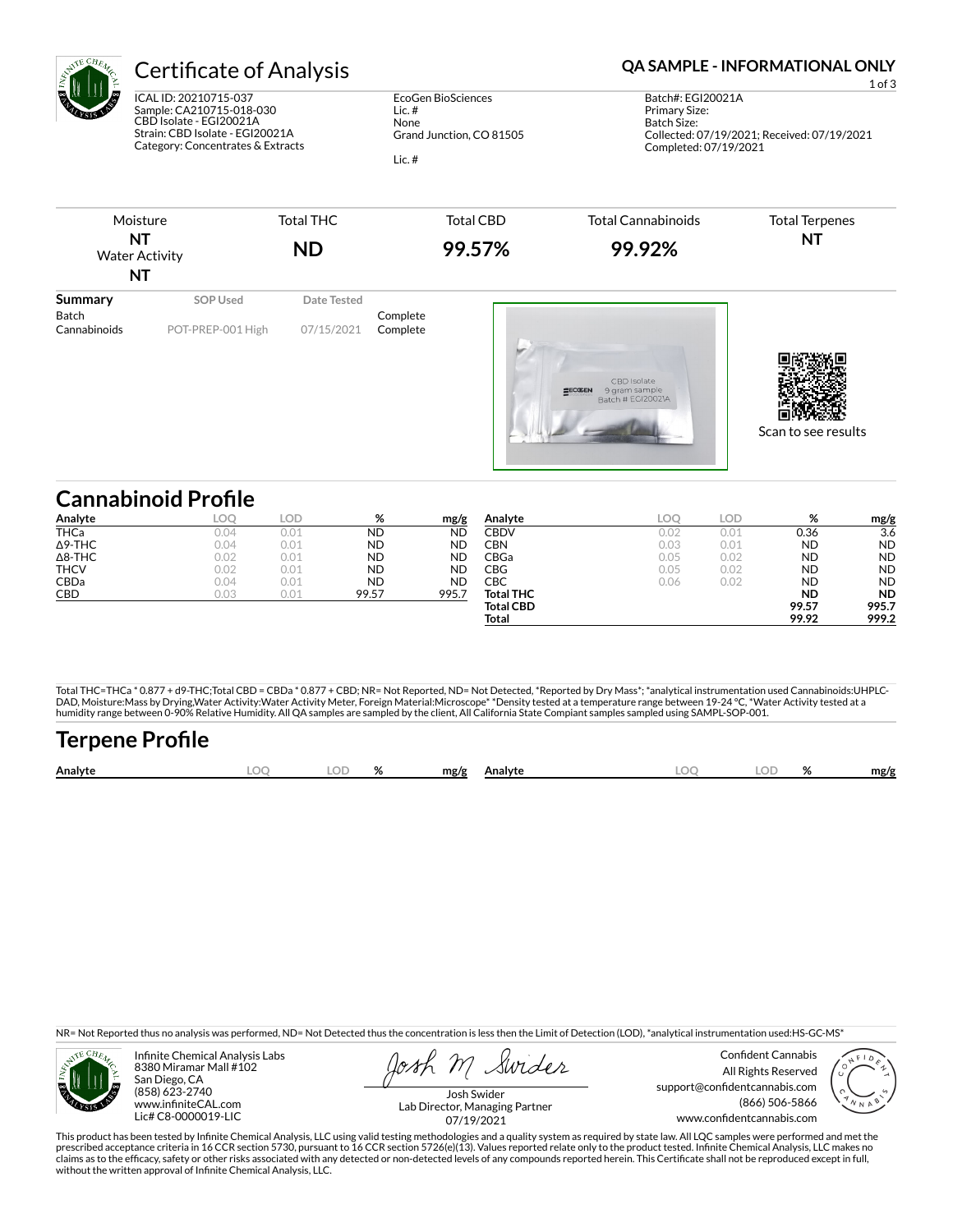

ICAL ID: 20210715-037 Sample: CA210715-018-030 CBD Isolate - EGI20021A Strain: CBD Isolate - EGI20021A Category: Concentrates & Extracts

EcoGen BioSciences Lic. # None Grand Junction, CO 81505 Lic. #

# Certificate of Analysis **Certificate of Analysis QA SAMPLE - INFORMATIONAL ONLY**

1 of 3 Batch#: EGI20021A Primary Size: Batch Size: Collected: 07/19/2021; Received: 07/19/2021 Completed: 07/19/2021

| <b>SOP Used</b>   | Date Tested                |                      |                                                                |                     |
|-------------------|----------------------------|----------------------|----------------------------------------------------------------|---------------------|
| POT-PREP-001 High | 07/15/2021                 | Complete<br>Complete | CBD Isolate<br>9 gram sample<br>$2ECGEEN$<br>Batch # EGI2002IA | Scan to see results |
|                   | <b>Cannabinoid Profile</b> |                      |                                                                |                     |

| Analyte        | <b>LOC</b> | LOD  | %         | mg/g      | Analyte          | LOC  | LOD  | $\alpha$  | mg/g      |
|----------------|------------|------|-----------|-----------|------------------|------|------|-----------|-----------|
| <b>THCa</b>    | 0.04       | 0.01 | <b>ND</b> | <b>ND</b> | CBDV             | 0.02 | 0.01 | 0.36      | 3.6       |
| $\Delta$ 9-THC | 0.04       | 0.01 | <b>ND</b> | <b>ND</b> | CBN              | 0.03 | 0.01 | <b>ND</b> | <b>ND</b> |
| $\Delta$ 8-THC | 0.02       | 0.01 | <b>ND</b> | <b>ND</b> | CBGa             | 0.05 | 0.02 | <b>ND</b> | <b>ND</b> |
| <b>THCV</b>    | 0.02       | 0.01 | <b>ND</b> | <b>ND</b> | CBG              | 0.05 | 0.02 | <b>ND</b> | <b>ND</b> |
| CBDa           | 0.04       | 0.01 | <b>ND</b> | <b>ND</b> | СВС              | 0.06 | 0.02 | <b>ND</b> | <b>ND</b> |
| CBD            | 0.03       | 0.01 | 99.57     | 995.7     | <b>Total THC</b> |      |      | <b>ND</b> | <b>ND</b> |
|                |            |      |           |           | <b>Total CBD</b> |      |      | 99.57     | 995.7     |
|                |            |      |           |           | Total            |      |      | 99.92     | 999.2     |

Total THC=THCa \* 0.877 + d9-THC;Total CBD = CBDa \* 0.877 + CBD; NR= Not Reported, ND= Not Detected, \*Reported by Dry Mass\*; \*analytical instrumentation used Cannabinoids:UHPLC-DAD, Moisture:Mass by Drying,Water Activity:Water Activity Meter, Foreign Material:Microscope\* \*Density tested at a temperature range between 19-24 °C, \*Water Activity tested at a<br>humidity range between 0-90% Relative Humi

| <b>Terpene Profile</b> |     |       |              |     |                   |      |
|------------------------|-----|-------|--------------|-----|-------------------|------|
| Analyte                | LOO | LOD % | mg/g Analyte | LOO | LOD <sub>26</sub> | mg/g |

NR= Not Reported thus no analysis was performed, ND= Not Detected thus the concentration is less then the Limit of Detection (LOD), \*analytical instrumentation used:HS-GC-MS\*



Infinite Chemical Analysis Labs 8380 Miramar Mall #102 San Diego, CA (858) 623-2740 www.infiniteCAL.com Lic# C8-0000019-LIC

Swider

Confident Cannabis All Rights Reserved support@confidentcannabis.com (866) 506-5866 www.confidentcannabis.com



Josh Swider Lab Director, Managing Partner 07/19/2021

This product has been tested by Infinite Chemical Analysis, LLC using valid testing methodologies and a quality system as required by state law. All LQC samples were performed and met the<br>prescribed acceptance criteria in without the written approval of Infinite Chemical Analysis, LLC.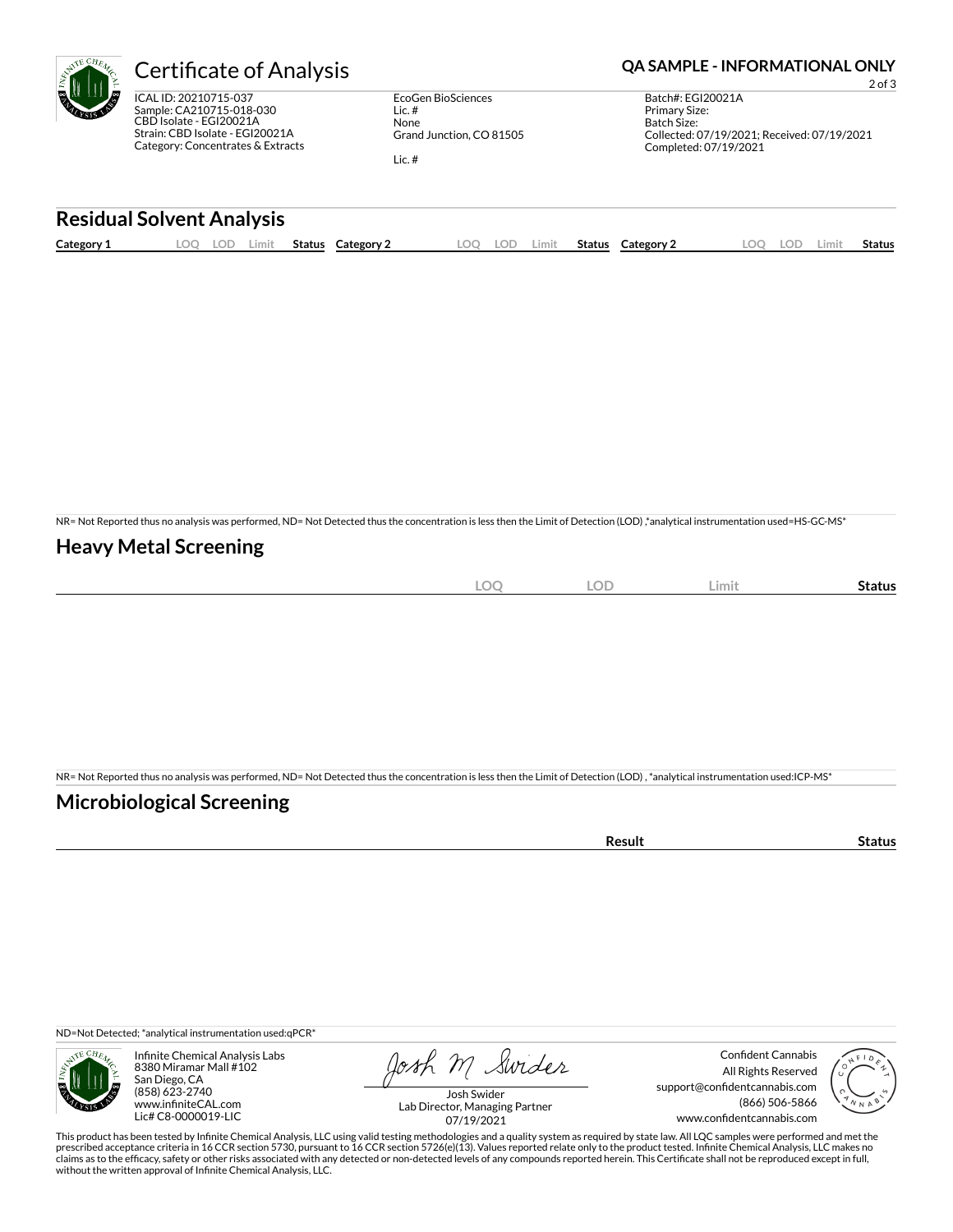

ICAL ID: 20210715-037 Sample: CA210715-018-030 CBD Isolate - EGI20021A Strain: CBD Isolate - EGI20021A Category: Concentrates & Extracts

EcoGen BioSciences Lic. # None Grand Junction, CO 81505 Lic. #

## Certificate of Analysis **Certificate of Analysis QA SAMPLE - INFORMATIONAL ONLY**

2 of 3 Batch#: EGI20021A Primary Size: Batch Size: Collected: 07/19/2021; Received: 07/19/2021 Completed: 07/19/2021

### **Residual Solvent Analysis**

| Category 1 | $\sim$<br><u>.</u> | -91 | Limit | Status | Category | OO | LOD | .imit | <b>Status</b> | Category 2 | nn<br>$\sim$ | LOD | .imi | Status |
|------------|--------------------|-----|-------|--------|----------|----|-----|-------|---------------|------------|--------------|-----|------|--------|
|            |                    |     |       |        |          |    |     |       |               |            |              |     |      |        |

NR= Not Reported thus no analysis was performed, ND= Not Detected thus the concentration is less then the Limit of Detection (LOD) ,\*analytical instrumentation used=HS-GC-MS\*

### **Heavy Metal Screening**

| $\widehat{\phantom{m}}$<br><b>All</b><br>$-\!\!\smile$<br>$\sim$ | $\sqrt{2}$<br>LUD | Limit | status |
|------------------------------------------------------------------|-------------------|-------|--------|
|                                                                  |                   |       |        |

NR= Not Reported thus no analysis was performed, ND= Not Detected thus the concentration is less then the Limit of Detection (LOD) , \*analytical instrumentation used:ICP-MS\*

### **Microbiological Screening**

| 'esult | LUS. |
|--------|------|
|        |      |

ND=Not Detected; \*analytical instrumentation used:qPCR\*



Infinite Chemical Analysis Labs 8380 Miramar Mall #102 San Diego, CA (858) 623-2740 www.infiniteCAL.com Lic# C8-0000019-LIC

Josh M Swider

Confident Cannabis All Rights Reserved support@confidentcannabis.com (866) 506-5866 www.confidentcannabis.com



Josh Swider Lab Director, Managing Partner 07/19/2021

This product has been tested by Infinite Chemical Analysis, LLC using valid testing methodologies and a quality system as required by state law. All LQC samples were performed and met the prescribed acceptance criteria in 16 CCR section 5730, pursuant to 16 CCR section 5726(e)(13). Values reported relate only to the product tested. Infinite Chemical Analysis, LLC makes no<br>claims as to the efficacy, safety o without the written approval of Infinite Chemical Analysis, LLC.